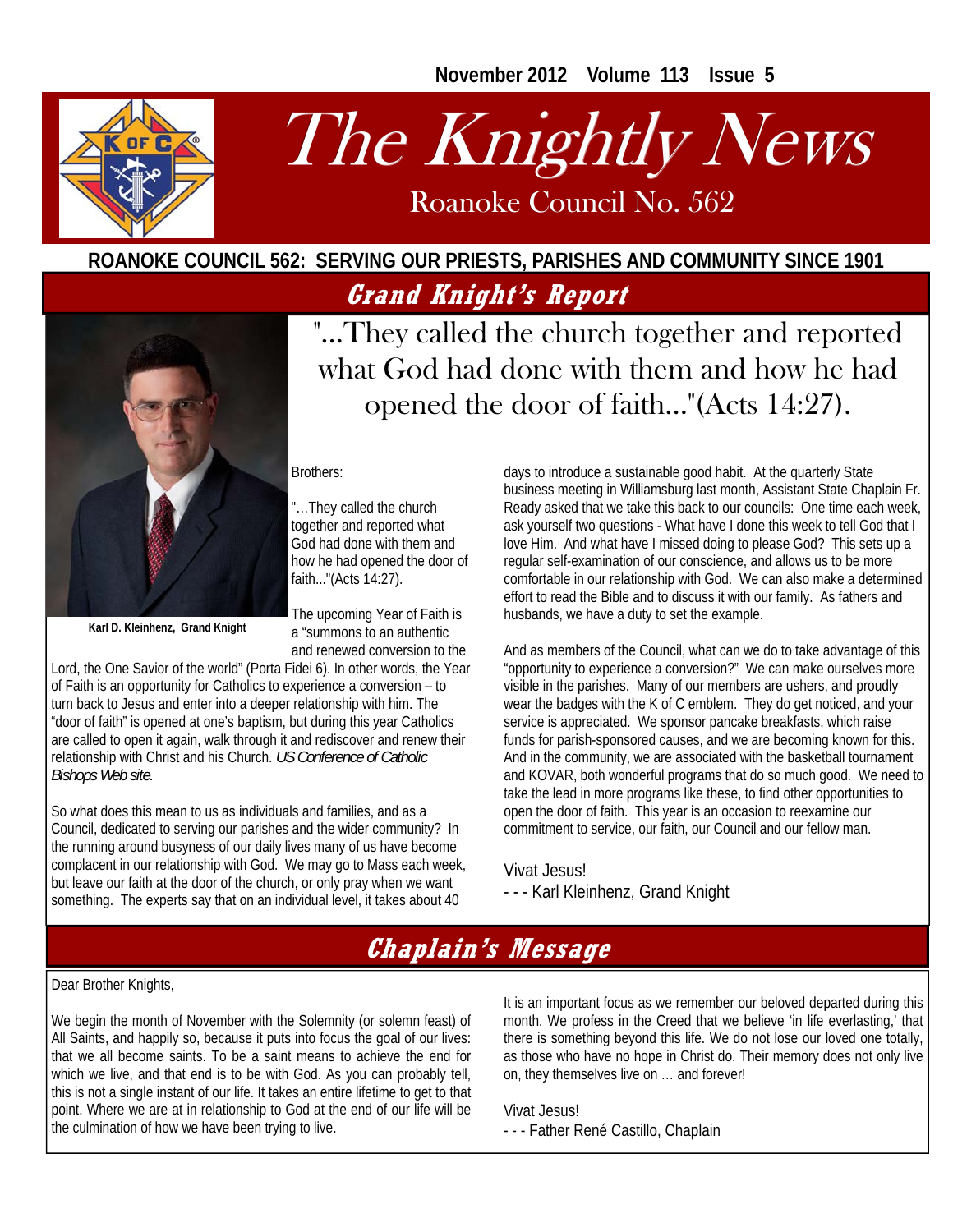**November 2012 Volume 113 Issue 5** 



# The Knightly News

Roanoke Council No. 562 Roanoke Council No. 562

## **ROANOKE COUNCIL 562: SERVING OUR PRIESTS, PARISHES AND COMMUNITY SINCE 1901 Grand Knight's Report**



"…They called the church together and reported what God had done with them and how he had opened the door of faith..."(Acts 14:27).

Brothers:

"…They called the church together and reported what God had done with them and how he had opened the door of faith..."(Acts 14:27).

**Karl D. Kleinhenz, Grand Knight** 

The upcoming Year of Faith is a "summons to an authentic and renewed conversion to the

Lord, the One Savior of the world" (Porta Fidei 6). In other words, the Year of Faith is an opportunity for Catholics to experience a conversion – to turn back to Jesus and enter into a deeper relationship with him. The "door of faith" is opened at one's baptism, but during this year Catholics are called to open it again, walk through it and rediscover and renew their relationship with Christ and his Church. *US Conference of Catholic Bishops Web site.* 

So what does this mean to us as individuals and families, and as a Council, dedicated to serving our parishes and the wider community? In the running around busyness of our daily lives many of us have become complacent in our relationship with God. We may go to Mass each week, but leave our faith at the door of the church, or only pray when we want something. The experts say that on an individual level, it takes about 40

days to introduce a sustainable good habit. At the quarterly State business meeting in Williamsburg last month, Assistant State Chaplain Fr. Ready asked that we take this back to our councils: One time each week, ask yourself two questions - What have I done this week to tell God that I love Him. And what have I missed doing to please God? This sets up a regular self-examination of our conscience, and allows us to be more comfortable in our relationship with God. We can also make a determined effort to read the Bible and to discuss it with our family. As fathers and husbands, we have a duty to set the example.

And as members of the Council, what can we do to take advantage of this "opportunity to experience a conversion?" We can make ourselves more visible in the parishes. Many of our members are ushers, and proudly wear the badges with the K of C emblem. They do get noticed, and your service is appreciated. We sponsor pancake breakfasts, which raise funds for parish-sponsored causes, and we are becoming known for this. And in the community, we are associated with the basketball tournament and KOVAR, both wonderful programs that do so much good. We need to take the lead in more programs like these, to find other opportunities to open the door of faith. This year is an occasion to reexamine our commitment to service, our faith, our Council and our fellow man.

#### Vivat Jesus!

- - - Karl Kleinhenz, Grand Knight

# **Chaplain's Message**

Dear Brother Knights,

We begin the month of November with the Solemnity (or solemn feast) of All Saints, and happily so, because it puts into focus the goal of our lives: that we all become saints. To be a saint means to achieve the end for which we live, and that end is to be with God. As you can probably tell, this is not a single instant of our life. It takes an entire lifetime to get to that point. Where we are at in relationship to God at the end of our life will be the culmination of how we have been trying to live.

It is an important focus as we remember our beloved departed during this month. We profess in the Creed that we believe 'in life everlasting,' that there is something beyond this life. We do not lose our loved one totally, as those who have no hope in Christ do. Their memory does not only live on, they themselves live on … and forever!

Vivat Jesus! - - - Father René Castillo, Chaplain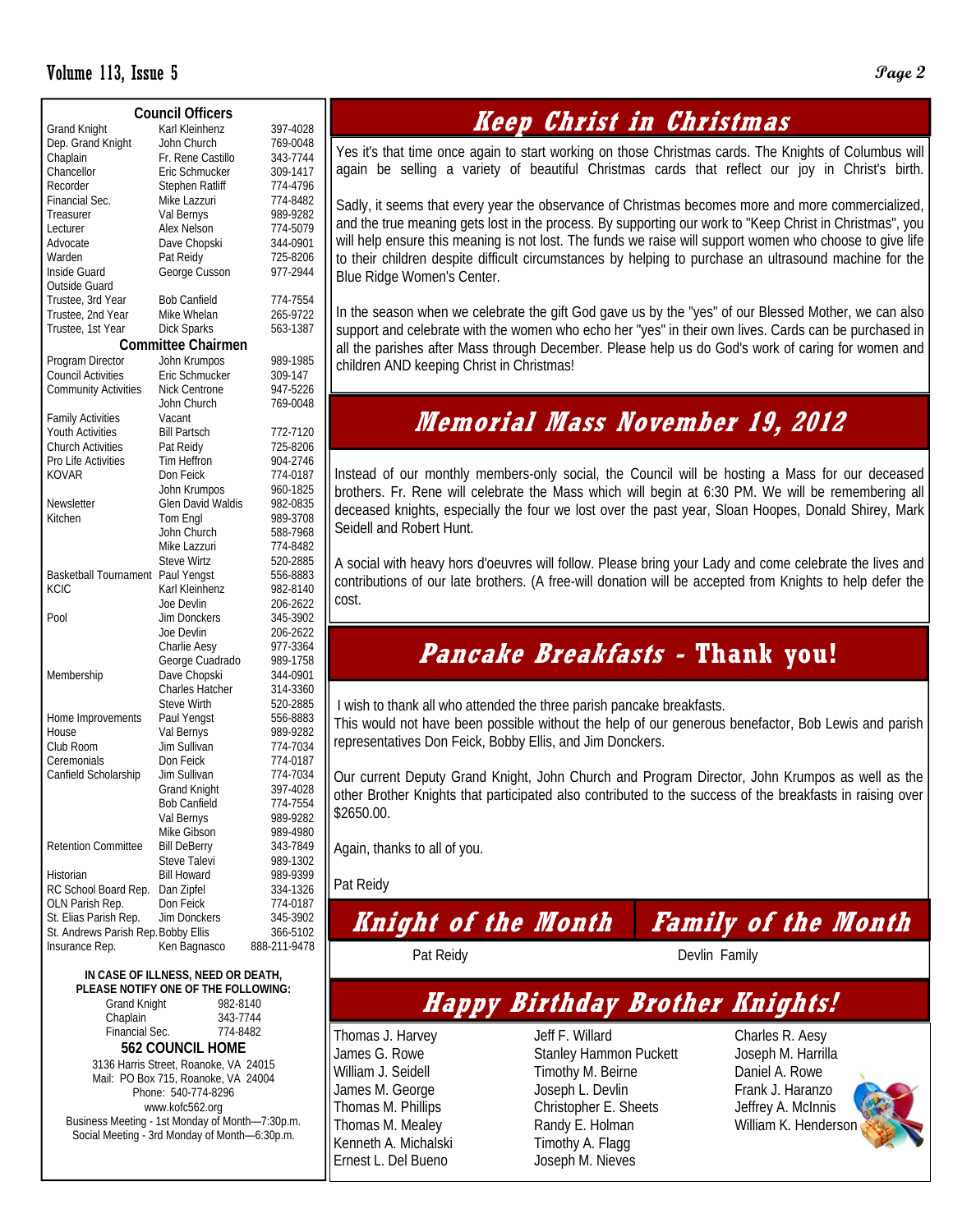### Volume 113, Issue 5 **Page 2**

| <b>Council Officers</b>             |                          |              |
|-------------------------------------|--------------------------|--------------|
| <b>Grand Knight</b>                 | Karl Kleinhenz           | 397-4028     |
| Dep. Grand Knight                   | John Church              | 769-0048     |
| Chaplain                            | Fr. Rene Castillo        | 343-7744     |
| Chancellor                          | Eric Schmucker           | 309-1417     |
| Recorder                            | Stephen Ratliff          | 774-4796     |
| Financial Sec.                      |                          | 774-8482     |
|                                     | Mike Lazzuri             |              |
| Treasurer                           | Val Bernys               | 989-9282     |
| Lecturer                            | Alex Nelson              | 774-5079     |
| Advocate                            | Dave Chopski             | 344-0901     |
| Warden                              | Pat Reidy                | 725-8206     |
| Inside Guard                        | George Cusson            | 977-2944     |
| Outside Guard                       |                          |              |
| Trustee, 3rd Year                   | <b>Bob Canfield</b>      | 774-7554     |
| Trustee, 2nd Year                   | Mike Whelan              | 265-9722     |
| Trustee, 1st Year                   | <b>Dick Sparks</b>       | 563-1387     |
| <b>Committee Chairmen</b>           |                          |              |
| Program Director                    | John Krumpos             | 989-1985     |
| <b>Council Activities</b>           | Eric Schmucker           | 309-147      |
| <b>Community Activities</b>         | Nick Centrone            | 947-5226     |
|                                     | John Church              | 769-0048     |
| <b>Family Activities</b>            | Vacant                   |              |
| <b>Youth Activities</b>             | <b>Bill Partsch</b>      | 772-7120     |
| <b>Church Activities</b>            | Pat Reidy                | 725-8206     |
| Pro Life Activities                 | Tim Heffron              | 904-2746     |
| <b>KOVAR</b>                        | Don Feick                | 774-0187     |
|                                     | John Krumpos             | 960-1825     |
| Newsletter                          | <b>Glen David Waldis</b> | 982-0835     |
| Kitchen                             | Tom Engl                 | 989-3708     |
|                                     | John Church              | 588-7968     |
|                                     | Mike Lazzuri             | 774-8482     |
|                                     | <b>Steve Wirtz</b>       | 520-2885     |
| Basketball Tournament               | Paul Yengst              | 556-8883     |
| <b>KCIC</b>                         | Karl Kleinhenz           | 982-8140     |
|                                     | Joe Devlin               | 206-2622     |
| Pool                                | Jim Donckers             | 345-3902     |
|                                     | Joe Devlin               | 206-2622     |
|                                     | Charlie Aesy             |              |
|                                     | George Cuadrado          | 977-3364     |
|                                     |                          | 989-1758     |
| Membership                          | Dave Chopski             | 344-0901     |
|                                     | <b>Charles Hatcher</b>   | 314-3360     |
|                                     | <b>Steve Wirth</b>       | 520-2885     |
| Home Improvements                   | Paul Yengst              | 556-8883     |
| House                               | Val Bernys               | 989-9282     |
| Club Room                           | Jim Sullivan             | 774-7034     |
| Ceremonials                         | Don Feick                | 774-0187     |
| Canfield Scholarship                | Jim Sullivan             | 774-7034     |
|                                     | Grand Knight             | 397-4028     |
|                                     | <b>Bob Canfield</b>      | 774-7554     |
|                                     | Val Bernys               | 989-9282     |
|                                     | Mike Gibson              | 989-4980     |
| <b>Retention Committee</b>          | <b>Bill DeBerry</b>      | 343-7849     |
|                                     | Steve Talevi             | 989-1302     |
| Historian                           | <b>Bill Howard</b>       | 989-9399     |
| RC School Board Rep.                | Dan Zipfel               | 334-1326     |
| OLN Parish Rep.                     | Don Feick                | 774-0187     |
| St. Elias Parish Rep.               | <b>Jim Donckers</b>      | 345-3902     |
| St. Andrews Parish Rep. Bobby Ellis |                          | 366-5102     |
| Insurance Rep.                      | Ken Bagnasco             | 888-211-9478 |
|                                     |                          |              |

#### **IN CASE OF ILLNESS, NEED OR DEATH, PLEASE NOTIFY ONE OF THE FOLLOWING:**  Grand Knight 982-8140 Chaplain 343-7744<br>Financial Sec. 774-8482 Financial Sec.

**562 COUNCIL HOME**  3136 Harris Street, Roanoke, VA 24015 Mail: PO Box 715, Roanoke, VA 24004 Phone: 540-774-8296 www.kofc562.org Business Meeting - 1st Monday of Month—7:30p.m. Social Meeting - 3rd Monday of Month—6:30p.m.

# **Keep Christ in Christmas**

Yes it's that time once again to start working on those Christmas cards. The Knights of Columbus will again be selling a variety of beautiful Christmas cards that reflect our joy in Christ's birth.

Sadly, it seems that every year the observance of Christmas becomes more and more commercialized, and the true meaning gets lost in the process. By supporting our work to "Keep Christ in Christmas", you will help ensure this meaning is not lost. The funds we raise will support women who choose to give life to their children despite difficult circumstances by helping to purchase an ultrasound machine for the Blue Ridge Women's Center.

In the season when we celebrate the gift God gave us by the "yes" of our Blessed Mother, we can also support and celebrate with the women who echo her "yes" in their own lives. Cards can be purchased in all the parishes after Mass through December. Please help us do God's work of caring for women and children AND keeping Christ in Christmas!

# **Memorial Mass November 19, 2012**

Instead of our monthly members-only social, the Council will be hosting a Mass for our deceased brothers. Fr. Rene will celebrate the Mass which will begin at 6:30 PM. We will be remembering all deceased knights, especially the four we lost over the past year, Sloan Hoopes, Donald Shirey, Mark Seidell and Robert Hunt.

A social with heavy hors d'oeuvres will follow. Please bring your Lady and come celebrate the lives and contributions of our late brothers. (A free-will donation will be accepted from Knights to help defer the cost.

# **Pancake Breakfasts - Thank you!**

I wish to thank all who attended the three parish pancake breakfasts.

This would not have been possible without the help of our generous benefactor, Bob Lewis and parish representatives Don Feick, Bobby Ellis, and Jim Donckers.

Our current Deputy Grand Knight, John Church and Program Director, John Krumpos as well as the other Brother Knights that participated also contributed to the success of the breakfasts in raising over \$2650.00.

Again, thanks to all of you.

Pat Reidy

**Knight of the Month** 

## **Family of the Month**

Pat Reidy **Devin Family** 

# **Happy Birthday Brother Knights!**

Thomas J. Harvey James G. Rowe William J. Seidell James M. George Thomas M. Phillips Thomas M. Mealey Kenneth A. Michalski Ernest L. Del Bueno

Jeff F. Willard Stanley Hammon Puckett Timothy M. Beirne Joseph L. Devlin Christopher E. Sheets Randy E. Holman Timothy A. Flagg Joseph M. Nieves

Charles R. Aesy Joseph M. Harrilla Daniel A. Rowe Frank J. Haranzo Jeffrey A. McInnis William K. Henderson

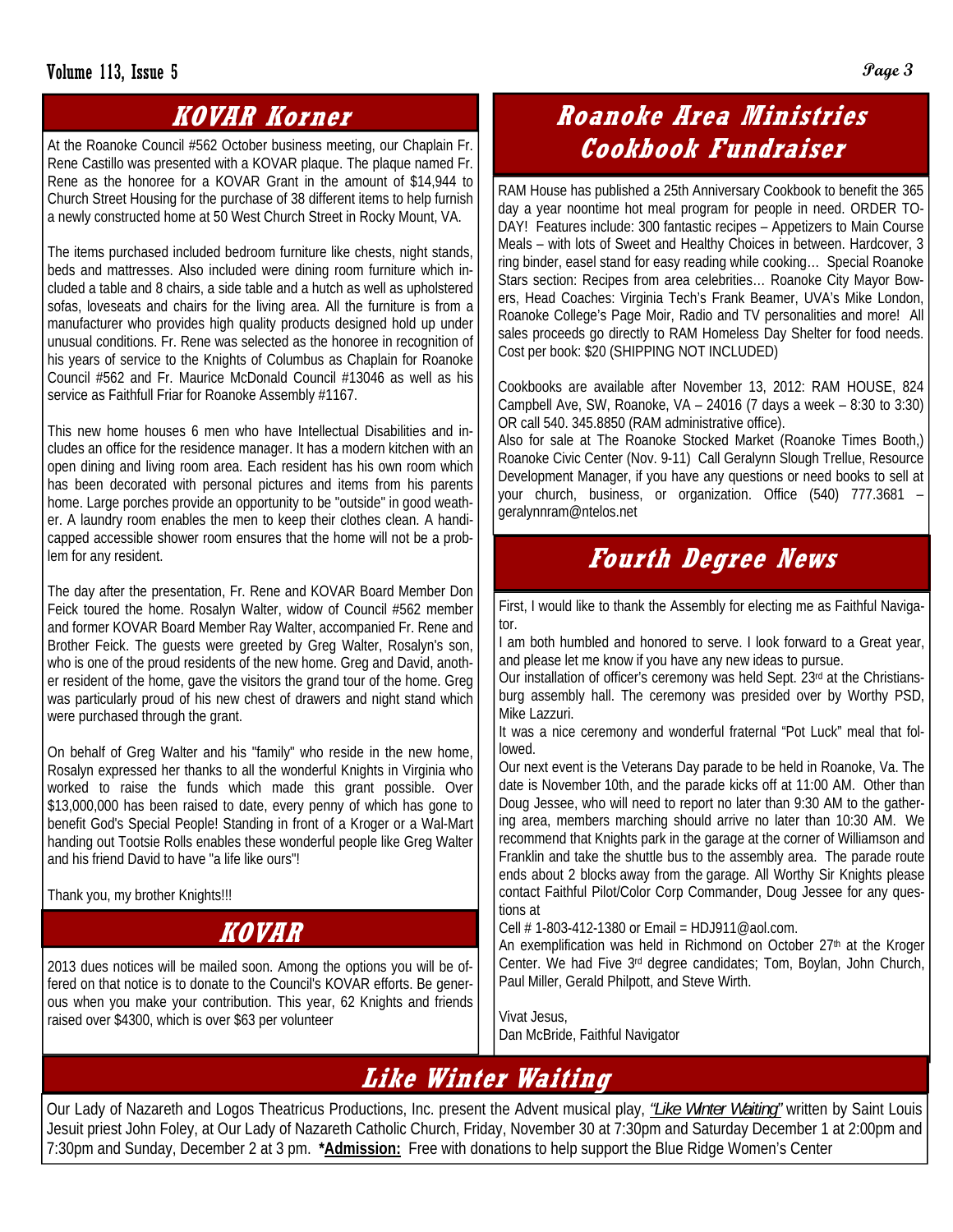# **KOVAR Korner**

At the Roanoke Council #562 October business meeting, our Chaplain Fr. Rene Castillo was presented with a KOVAR plaque. The plaque named Fr. Rene as the honoree for a KOVAR Grant in the amount of \$14,944 to Church Street Housing for the purchase of 38 different items to help furnish a newly constructed home at 50 West Church Street in Rocky Mount, VA.

The items purchased included bedroom furniture like chests, night stands, beds and mattresses. Also included were dining room furniture which included a table and 8 chairs, a side table and a hutch as well as upholstered sofas, loveseats and chairs for the living area. All the furniture is from a manufacturer who provides high quality products designed hold up under unusual conditions. Fr. Rene was selected as the honoree in recognition of his years of service to the Knights of Columbus as Chaplain for Roanoke Council #562 and Fr. Maurice McDonald Council #13046 as well as his service as Faithfull Friar for Roanoke Assembly #1167.

This new home houses 6 men who have Intellectual Disabilities and includes an office for the residence manager. It has a modern kitchen with an open dining and living room area. Each resident has his own room which has been decorated with personal pictures and items from his parents home. Large porches provide an opportunity to be "outside" in good weather. A laundry room enables the men to keep their clothes clean. A handicapped accessible shower room ensures that the home will not be a problem for any resident.

The day after the presentation, Fr. Rene and KOVAR Board Member Don Feick toured the home. Rosalyn Walter, widow of Council #562 member and former KOVAR Board Member Ray Walter, accompanied Fr. Rene and Brother Feick. The guests were greeted by Greg Walter, Rosalyn's son, who is one of the proud residents of the new home. Greg and David, another resident of the home, gave the visitors the grand tour of the home. Greg was particularly proud of his new chest of drawers and night stand which were purchased through the grant.

On behalf of Greg Walter and his "family" who reside in the new home, Rosalyn expressed her thanks to all the wonderful Knights in Virginia who worked to raise the funds which made this grant possible. Over \$13,000,000 has been raised to date, every penny of which has gone to benefit God's Special People! Standing in front of a Kroger or a Wal-Mart handing out Tootsie Rolls enables these wonderful people like Greg Walter and his friend David to have "a life like ours"!

Thank you, my brother Knights!!!

# **KOVAR**

2013 dues notices will be mailed soon. Among the options you will be offered on that notice is to donate to the Council's KOVAR efforts. Be generous when you make your contribution. This year, 62 Knights and friends raised over \$4300, which is over \$63 per volunteer

# **Roanoke Area Ministries Cookbook Fundraiser**

RAM House has published a 25th Anniversary Cookbook to benefit the 365 day a year noontime hot meal program for people in need. ORDER TO-DAY! Features include: 300 fantastic recipes – Appetizers to Main Course Meals – with lots of Sweet and Healthy Choices in between. Hardcover, 3 ring binder, easel stand for easy reading while cooking… Special Roanoke Stars section: Recipes from area celebrities… Roanoke City Mayor Bowers, Head Coaches: Virginia Tech's Frank Beamer, UVA's Mike London, Roanoke College's Page Moir, Radio and TV personalities and more! All sales proceeds go directly to RAM Homeless Day Shelter for food needs. Cost per book: \$20 (SHIPPING NOT INCLUDED)

Cookbooks are available after November 13, 2012: RAM HOUSE, 824 Campbell Ave, SW, Roanoke, VA – 24016 (7 days a week – 8:30 to 3:30) OR call 540. 345.8850 (RAM administrative office).

Also for sale at The Roanoke Stocked Market (Roanoke Times Booth,) Roanoke Civic Center (Nov. 9-11) Call Geralynn Slough Trellue, Resource Development Manager, if you have any questions or need books to sell at your church, business, or organization. Office (540) 777.3681 – geralynnram@ntelos.net

# **Fourth Degree News**

First, I would like to thank the Assembly for electing me as Faithful Navigator.

I am both humbled and honored to serve. I look forward to a Great year, and please let me know if you have any new ideas to pursue.

Our installation of officer's ceremony was held Sept. 23rd at the Christiansburg assembly hall. The ceremony was presided over by Worthy PSD, Mike Lazzuri.

It was a nice ceremony and wonderful fraternal "Pot Luck" meal that followed.

Our next event is the Veterans Day parade to be held in Roanoke, Va. The date is November 10th, and the parade kicks off at 11:00 AM. Other than Doug Jessee, who will need to report no later than 9:30 AM to the gathering area, members marching should arrive no later than 10:30 AM. We recommend that Knights park in the garage at the corner of Williamson and Franklin and take the shuttle bus to the assembly area. The parade route ends about 2 blocks away from the garage. All Worthy Sir Knights please contact Faithful Pilot/Color Corp Commander, Doug Jessee for any questions at

Cell # 1-803-412-1380 or Email = HDJ911@aol.com.

An exemplification was held in Richmond on October 27<sup>th</sup> at the Kroger Center. We had Five 3rd degree candidates; Tom, Boylan, John Church, Paul Miller, Gerald Philpott, and Steve Wirth.

Vivat Jesus, Dan McBride, Faithful Navigator

# **Like Winter Waiting**

Our Lady of Nazareth and Logos Theatricus Productions, Inc. present the Advent musical play, *"Like Winter Waiting"* written by Saint Louis Jesuit priest John Foley, at Our Lady of Nazareth Catholic Church, Friday, November 30 at 7:30pm and Saturday December 1 at 2:00pm and 7:30pm and Sunday, December 2 at 3 pm. **\*Admission:** Free with donations to help support the Blue Ridge Women's Center